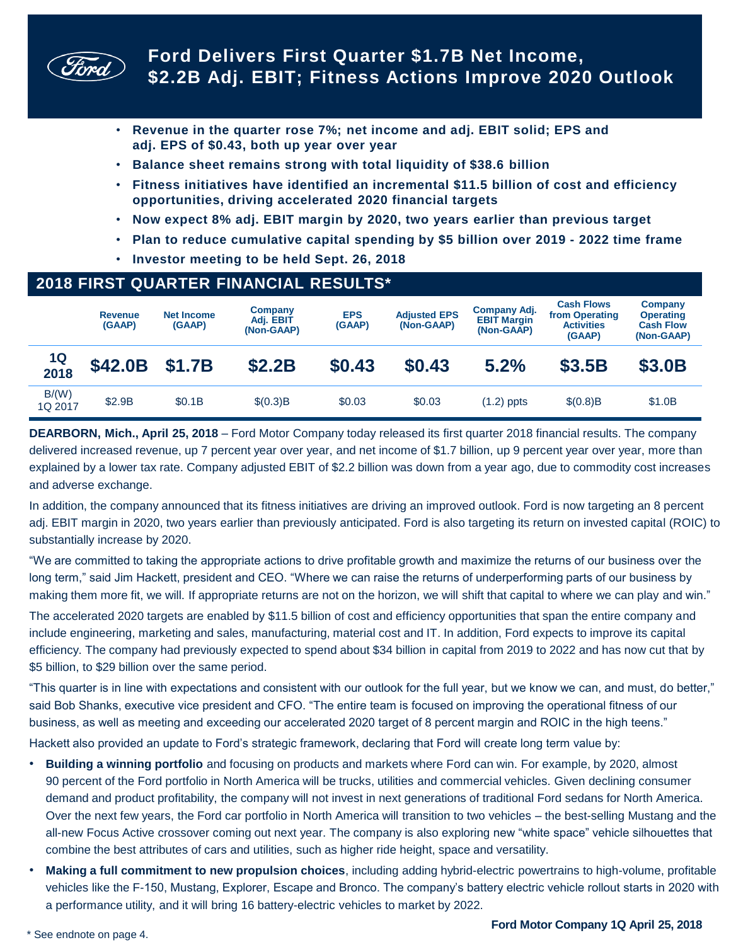

- **Revenue in the quarter rose 7%; net income and adj. EBIT solid; EPS and adj. EPS of \$0.43, both up year over year**
- **Balance sheet remains strong with total liquidity of \$38.6 billion**
- **Fitness initiatives have identified an incremental \$11.5 billion of cost and efficiency opportunities, driving accelerated 2020 financial targets**
- **Now expect 8% adj. EBIT margin by 2020, two years earlier than previous target**
- **Plan to reduce cumulative capital spending by \$5 billion over 2019 - 2022 time frame**
- **Investor meeting to be held Sept. 26, 2018**

|                  |                          |                             | <b>2018 FIRST QUARTER FINANCIAL RESULTS*</b> |                      |                                   |                                                         |                                                                    |                                                               |
|------------------|--------------------------|-----------------------------|----------------------------------------------|----------------------|-----------------------------------|---------------------------------------------------------|--------------------------------------------------------------------|---------------------------------------------------------------|
|                  | <b>Revenue</b><br>(GAAP) | <b>Net Income</b><br>(GAAP) | <b>Company</b><br>Adj. EBIT<br>(Non-GAAP)    | <b>EPS</b><br>(GAAP) | <b>Adjusted EPS</b><br>(Non-GAAP) | <b>Company Adj.</b><br><b>EBIT Margin</b><br>(Non-GAAP) | <b>Cash Flows</b><br>from Operating<br><b>Activities</b><br>(GAAP) | Company<br><b>Operating</b><br><b>Cash Flow</b><br>(Non-GAAP) |
| 1Q<br>2018       | \$42.0B                  | \$1.7B                      | <b>\$2.2B</b>                                | \$0.43               | \$0.43                            | 5.2%                                                    | \$3.5B                                                             | \$3.0B                                                        |
| B/(W)<br>1Q 2017 | \$2.9B                   | \$0.1B                      | \$(0.3)B                                     | \$0.03               | \$0.03                            | $(1.2)$ ppts                                            | \$(0.8)B                                                           | \$1.0B                                                        |

**DEARBORN, Mich., April 25, 2018** – Ford Motor Company today released its first quarter 2018 financial results. The company delivered increased revenue, up 7 percent year over year, and net income of \$1.7 billion, up 9 percent year over year, more than explained by a lower tax rate. Company adjusted EBIT of \$2.2 billion was down from a year ago, due to commodity cost increases and adverse exchange.

In addition, the company announced that its fitness initiatives are driving an improved outlook. Ford is now targeting an 8 percent adj. EBIT margin in 2020, two years earlier than previously anticipated. Ford is also targeting its return on invested capital (ROIC) to substantially increase by 2020.

"We are committed to taking the appropriate actions to drive profitable growth and maximize the returns of our business over the long term," said Jim Hackett, president and CEO. "Where we can raise the returns of underperforming parts of our business by making them more fit, we will. If appropriate returns are not on the horizon, we will shift that capital to where we can play and win."

The accelerated 2020 targets are enabled by \$11.5 billion of cost and efficiency opportunities that span the entire company and include engineering, marketing and sales, manufacturing, material cost and IT. In addition, Ford expects to improve its capital efficiency. The company had previously expected to spend about \$34 billion in capital from 2019 to 2022 and has now cut that by \$5 billion, to \$29 billion over the same period.

"This quarter is in line with expectations and consistent with our outlook for the full year, but we know we can, and must, do better," said Bob Shanks, executive vice president and CFO. "The entire team is focused on improving the operational fitness of our business, as well as meeting and exceeding our accelerated 2020 target of 8 percent margin and ROIC in the high teens."

Hackett also provided an update to Ford's strategic framework, declaring that Ford will create long term value by:

- **Building a winning portfolio** and focusing on products and markets where Ford can win. For example, by 2020, almost 90 percent of the Ford portfolio in North America will be trucks, utilities and commercial vehicles. Given declining consumer demand and product profitability, the company will not invest in next generations of traditional Ford sedans for North America. Over the next few years, the Ford car portfolio in North America will transition to two vehicles – the best-selling Mustang and the all-new Focus Active crossover coming out next year. The company is also exploring new "white space" vehicle silhouettes that combine the best attributes of cars and utilities, such as higher ride height, space and versatility.
- **Making a full commitment to new propulsion choices**, including adding hybrid-electric powertrains to high-volume, profitable vehicles like the F-150, Mustang, Explorer, Escape and Bronco. The company's battery electric vehicle rollout starts in 2020 with a performance utility, and it will bring 16 battery-electric vehicles to market by 2022.

\* See endnote on page 4.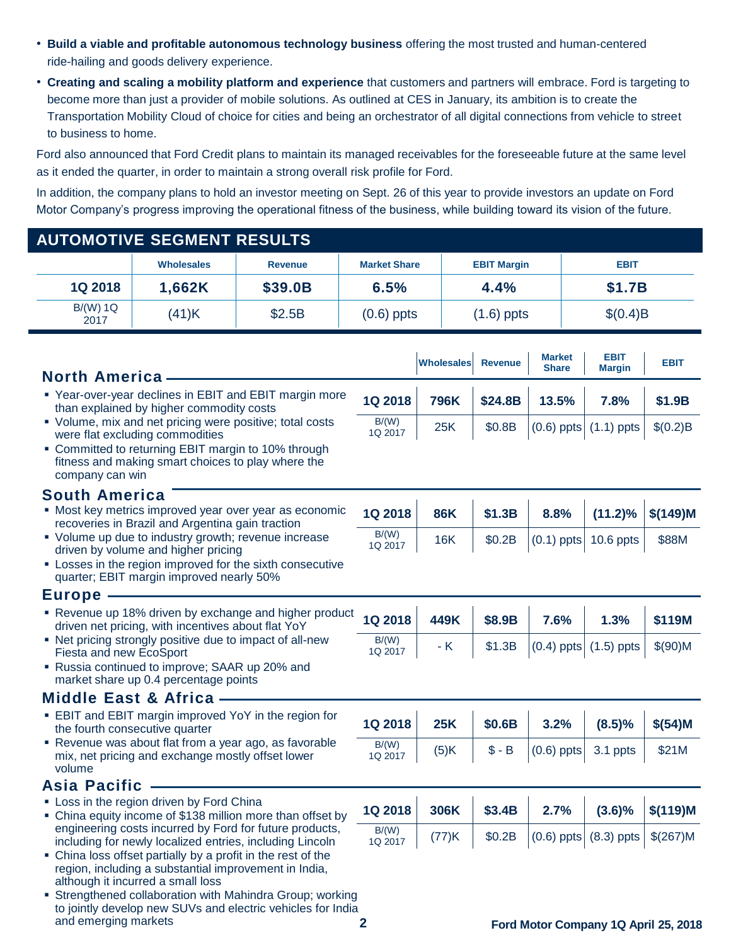- **Build a viable and profitable autonomous technology business** offering the most trusted and human-centered ride-hailing and goods delivery experience.
- **Creating and scaling a mobility platform and experience** that customers and partners will embrace. Ford is targeting to become more than just a provider of mobile solutions. As outlined at CES in January, its ambition is to create the Transportation Mobility Cloud of choice for cities and being an orchestrator of all digital connections from vehicle to street to business to home.

Ford also announced that Ford Credit plans to maintain its managed receivables for the foreseeable future at the same level as it ended the quarter, in order to maintain a strong overall risk profile for Ford.

In addition, the company plans to hold an investor meeting on Sept. 26 of this year to provide investors an update on Ford Motor Company's progress improving the operational fitness of the business, while building toward its vision of the future.

| <b>AUTOMOTIVE SEGMENT RESULTS</b> |                   |                |                     |                    |             |  |  |  |  |  |
|-----------------------------------|-------------------|----------------|---------------------|--------------------|-------------|--|--|--|--|--|
|                                   | <b>Wholesales</b> | <b>Revenue</b> | <b>Market Share</b> | <b>EBIT Margin</b> | <b>EBIT</b> |  |  |  |  |  |
| <b>1Q 2018</b>                    | 1,662K            | \$39.0B        | 6.5%                | 4.4%               | \$1.7B      |  |  |  |  |  |
| B/(W) 1Q<br>2017                  | (41)K             | \$2.5B         | $(0.6)$ ppts        | $(1.6)$ ppts       | \$(0.4)B    |  |  |  |  |  |

| <b>North America</b>                                                                                                                                       |                  | <b>Wholesales</b> | <b>Revenue</b> | <b>Market</b><br><b>Share</b> | <b>EBIT</b><br><b>Margin</b> | <b>EBIT</b> |
|------------------------------------------------------------------------------------------------------------------------------------------------------------|------------------|-------------------|----------------|-------------------------------|------------------------------|-------------|
| • Year-over-year declines in EBIT and EBIT margin more<br>than explained by higher commodity costs                                                         | 1Q 2018          | 796K              | \$24.8B        | 13.5%                         | 7.8%                         | \$1.9B      |
| • Volume, mix and net pricing were positive; total costs<br>were flat excluding commodities                                                                | B/(W)<br>1Q 2017 | 25K               | \$0.8B         | $(0.6)$ ppts                  | $(1.1)$ ppts                 | \$(0.2)B    |
| • Committed to returning EBIT margin to 10% through<br>fitness and making smart choices to play where the<br>company can win                               |                  |                   |                |                               |                              |             |
| <b>South America</b>                                                                                                                                       |                  |                   |                |                               |                              |             |
| • Most key metrics improved year over year as economic<br>recoveries in Brazil and Argentina gain traction                                                 | 1Q 2018          | <b>86K</b>        | \$1.3B         | 8.8%                          | $(11.2)\%$                   | \$(149)M    |
| • Volume up due to industry growth; revenue increase<br>driven by volume and higher pricing                                                                | B/(W)<br>1Q 2017 | <b>16K</b>        | \$0.2B         |                               | $(0.1)$ ppts 10.6 ppts       | \$88M       |
| • Losses in the region improved for the sixth consecutive<br>quarter; EBIT margin improved nearly 50%                                                      |                  |                   |                |                               |                              |             |
| <b>Europe</b>                                                                                                                                              |                  |                   |                |                               |                              |             |
| • Revenue up 18% driven by exchange and higher product<br>driven net pricing, with incentives about flat YoY                                               | 1Q 2018          | 449K              | \$8.9B         | 7.6%                          | 1.3%                         | \$119M      |
| • Net pricing strongly positive due to impact of all-new<br>Fiesta and new EcoSport                                                                        | B/(W)<br>1Q 2017 | $-K$              | \$1.3B         |                               | $(0.4)$ ppts $(1.5)$ ppts    | \$(90)M     |
| " Russia continued to improve; SAAR up 20% and<br>market share up 0.4 percentage points                                                                    |                  |                   |                |                               |                              |             |
| <b>Middle East &amp; Africa</b>                                                                                                                            |                  |                   |                |                               |                              |             |
| • EBIT and EBIT margin improved YoY in the region for<br>the fourth consecutive quarter                                                                    | 1Q 2018          | <b>25K</b>        | \$0.6B         | 3.2%                          | $(8.5)\%$                    | $$$ (54)M   |
| • Revenue was about flat from a year ago, as favorable<br>mix, net pricing and exchange mostly offset lower<br>volume                                      | B/(W)<br>1Q 2017 | (5)K              | $$ - B$        | $(0.6)$ ppts                  | 3.1 ppts                     | \$21M       |
| <b>Asia Pacific</b>                                                                                                                                        |                  |                   |                |                               |                              |             |
| " Loss in the region driven by Ford China<br>• China equity income of \$138 million more than offset by                                                    | <b>1Q 2018</b>   | 306K              | \$3.4B         | 2.7%                          | $(3.6)\%$                    | \$(119)M    |
| engineering costs incurred by Ford for future products,<br>including for newly localized entries, including Lincoln                                        | B/(W)<br>1Q 2017 | (77)K             | \$0.2B         | $(0.6)$ ppts                  | $(8.3)$ ppts                 | \$(267)M    |
| • China loss offset partially by a profit in the rest of the<br>region, including a substantial improvement in India,<br>although it incurred a small loss |                  |                   |                |                               |                              |             |
| • Strengthened collaboration with Mahindra Group; working<br>to jointly develop new SUVs and electric vehicles for India                                   |                  |                   |                |                               |                              |             |

and emerging markets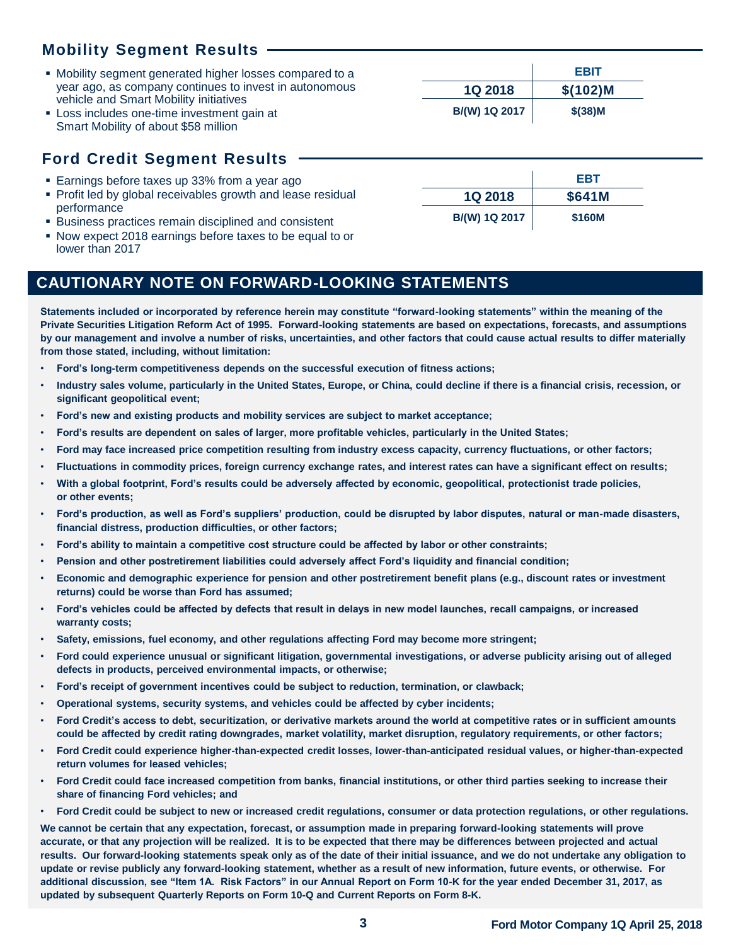## **Mobility Segment Results**

| • Mobility segment generated higher losses compared to a                              |               | <b>EBIT</b> |
|---------------------------------------------------------------------------------------|---------------|-------------|
| year ago, as company continues to invest in autonomous                                | 1Q 2018       | \$(102)M    |
| vehicle and Smart Mobility initiatives<br>• Loss includes one-time investment gain at | B/(W) 1Q 2017 | $$$ (38)M   |
| Smart Mobility of about \$58 million                                                  |               |             |

### **Ford Credit Segment Results**

| ■ Earnings before taxes up 33% from a year ago                        |               | EBT    |  |
|-----------------------------------------------------------------------|---------------|--------|--|
| • Profit led by global receivables growth and lease residual          | 1Q 2018       | \$641M |  |
| performance<br>• Business practices remain disciplined and consistent | B/(W) 1Q 2017 | \$160M |  |
| • Now expect 2018 earnings before taxes to be equal to or             |               |        |  |

lower than 2017

## **CAUTIONARY NOTE ON FORWARD-LOOKING STATEMENTS**

**Statements included or incorporated by reference herein may constitute "forward-looking statements" within the meaning of the Private Securities Litigation Reform Act of 1995. Forward-looking statements are based on expectations, forecasts, and assumptions by our management and involve a number of risks, uncertainties, and other factors that could cause actual results to differ materially from those stated, including, without limitation:**

- **Ford's long-term competitiveness depends on the successful execution of fitness actions;**
- **Industry sales volume, particularly in the United States, Europe, or China, could decline if there is a financial crisis, recession, or significant geopolitical event;**
- **Ford's new and existing products and mobility services are subject to market acceptance;**
- **Ford's results are dependent on sales of larger, more profitable vehicles, particularly in the United States;**
- **Ford may face increased price competition resulting from industry excess capacity, currency fluctuations, or other factors;**
- **Fluctuations in commodity prices, foreign currency exchange rates, and interest rates can have a significant effect on results;**
- **With a global footprint, Ford's results could be adversely affected by economic, geopolitical, protectionist trade policies, or other events;**
- **Ford's production, as well as Ford's suppliers' production, could be disrupted by labor disputes, natural or man-made disasters, financial distress, production difficulties, or other factors;**
- **Ford's ability to maintain a competitive cost structure could be affected by labor or other constraints;**
- **Pension and other postretirement liabilities could adversely affect Ford's liquidity and financial condition;**
- **Economic and demographic experience for pension and other postretirement benefit plans (e.g., discount rates or investment returns) could be worse than Ford has assumed;**
- **Ford's vehicles could be affected by defects that result in delays in new model launches, recall campaigns, or increased warranty costs;**
- **Safety, emissions, fuel economy, and other regulations affecting Ford may become more stringent;**
- **Ford could experience unusual or significant litigation, governmental investigations, or adverse publicity arising out of alleged defects in products, perceived environmental impacts, or otherwise;**
- **Ford's receipt of government incentives could be subject to reduction, termination, or clawback;**
- **Operational systems, security systems, and vehicles could be affected by cyber incidents;**
- **Ford Credit's access to debt, securitization, or derivative markets around the world at competitive rates or in sufficient amounts could be affected by credit rating downgrades, market volatility, market disruption, regulatory requirements, or other factors;**
- **Ford Credit could experience higher-than-expected credit losses, lower-than-anticipated residual values, or higher-than-expected return volumes for leased vehicles;**
- **Ford Credit could face increased competition from banks, financial institutions, or other third parties seeking to increase their share of financing Ford vehicles; and**
- **Ford Credit could be subject to new or increased credit regulations, consumer or data protection regulations, or other regulations.**

**We cannot be certain that any expectation, forecast, or assumption made in preparing forward-looking statements will prove accurate, or that any projection will be realized. It is to be expected that there may be differences between projected and actual results. Our forward-looking statements speak only as of the date of their initial issuance, and we do not undertake any obligation to update or revise publicly any forward-looking statement, whether as a result of new information, future events, or otherwise. For additional discussion, see "Item 1A. Risk Factors" in our Annual Report on Form 10-K for the year ended December 31, 2017, as updated by subsequent Quarterly Reports on Form 10-Q and Current Reports on Form 8-K.**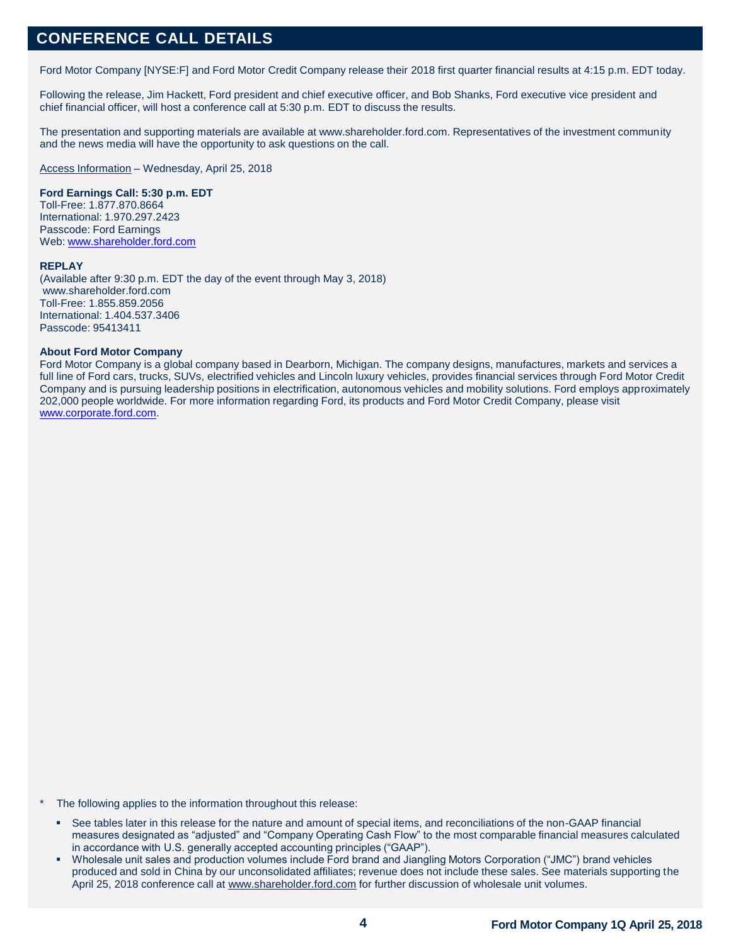## **CONFERENCE CALL DETAILS**

Ford Motor Company [NYSE:F] and Ford Motor Credit Company release their 2018 first quarter financial results at 4:15 p.m. EDT today.

Following the release, Jim Hackett, Ford president and chief executive officer, and Bob Shanks, Ford executive vice president and chief financial officer, will host a conference call at 5:30 p.m. EDT to discuss the results.

The presentation and supporting materials are available at www.shareholder.ford.com. Representatives of the investment community and the news media will have the opportunity to ask questions on the call.

Access Information – Wednesday, April 25, 2018

#### **Ford Earnings Call: 5:30 p.m. EDT**

Toll-Free: 1.877.870.8664 International: 1.970.297.2423 Passcode: Ford Earnings Web: [www.shareholder.ford.com](http://www.shareholder.ford.com/)

#### **REPLAY**

(Available after 9:30 p.m. EDT the day of the event through May 3, 2018) www.shareholder.ford.com Toll-Free: 1.855.859.2056 International: 1.404.537.3406 Passcode: 95413411

#### **About Ford Motor Company**

Ford Motor Company is a global company based in Dearborn, Michigan. The company designs, manufactures, markets and services a full line of Ford cars, trucks, SUVs, electrified vehicles and Lincoln luxury vehicles, provides financial services through Ford Motor Credit Company and is pursuing leadership positions in electrification, autonomous vehicles and mobility solutions. Ford employs approximately 202,000 people worldwide. For more information regarding Ford, its products and Ford Motor Credit Company, please visit [www.corporate.ford.com](http://www.corporate.ford.com/).

The following applies to the information throughout this release:

- See tables later in this release for the nature and amount of special items, and reconciliations of the non-GAAP financial measures designated as "adjusted" and "Company Operating Cash Flow" to the most comparable financial measures calculated in accordance with U.S. generally accepted accounting principles ("GAAP").
- Wholesale unit sales and production volumes include Ford brand and Jiangling Motors Corporation ("JMC") brand vehicles produced and sold in China by our unconsolidated affiliates; revenue does not include these sales. See materials supporting the April 25, 2018 conference call at www.shareholder.ford.com for further discussion of wholesale unit volumes.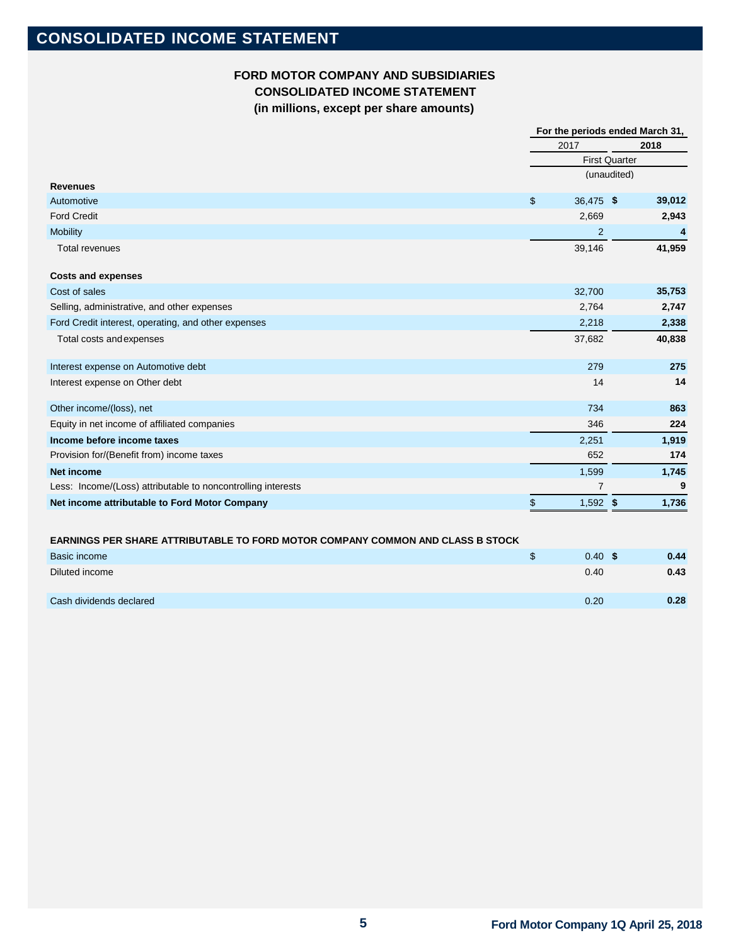### **FORD MOTOR COMPANY AND SUBSIDIARIES CONSOLIDATED INCOME STATEMENT (in millions, except per share amounts)**

|                                                                                | For the periods ended March 31, |                      |        |
|--------------------------------------------------------------------------------|---------------------------------|----------------------|--------|
|                                                                                | 2017                            |                      | 2018   |
|                                                                                |                                 | <b>First Quarter</b> |        |
|                                                                                |                                 | (unaudited)          |        |
| <b>Revenues</b>                                                                |                                 |                      |        |
| Automotive                                                                     | \$<br>36,475 \$                 |                      | 39,012 |
| <b>Ford Credit</b>                                                             | 2,669                           |                      | 2,943  |
| <b>Mobility</b>                                                                | 2                               |                      | 4      |
| <b>Total revenues</b>                                                          | 39,146                          |                      | 41,959 |
| <b>Costs and expenses</b>                                                      |                                 |                      |        |
| Cost of sales                                                                  | 32,700                          |                      | 35,753 |
| Selling, administrative, and other expenses                                    | 2,764                           |                      | 2,747  |
| Ford Credit interest, operating, and other expenses                            | 2,218                           |                      | 2,338  |
| Total costs and expenses                                                       | 37,682                          |                      | 40,838 |
| Interest expense on Automotive debt                                            | 279                             |                      | 275    |
| Interest expense on Other debt                                                 | 14                              |                      | 14     |
| Other income/(loss), net                                                       | 734                             |                      | 863    |
| Equity in net income of affiliated companies                                   | 346                             |                      | 224    |
| Income before income taxes                                                     | 2,251                           |                      | 1,919  |
| Provision for/(Benefit from) income taxes                                      | 652                             |                      | 174    |
| <b>Net income</b>                                                              | 1,599                           |                      | 1,745  |
| Less: Income/(Loss) attributable to noncontrolling interests                   | $\overline{7}$                  |                      | 9      |
| Net income attributable to Ford Motor Company                                  | \$<br>1,592 \$                  |                      | 1,736  |
|                                                                                |                                 |                      |        |
| EARNINGS PER SHARE ATTRIBUTABLE TO FORD MOTOR COMPANY COMMON AND CLASS B STOCK |                                 |                      |        |

| Basic income            | 0.40 | 0.44 |
|-------------------------|------|------|
| Diluted income          | 0.40 | 0.43 |
| Cash dividends declared | 0.20 | 0.28 |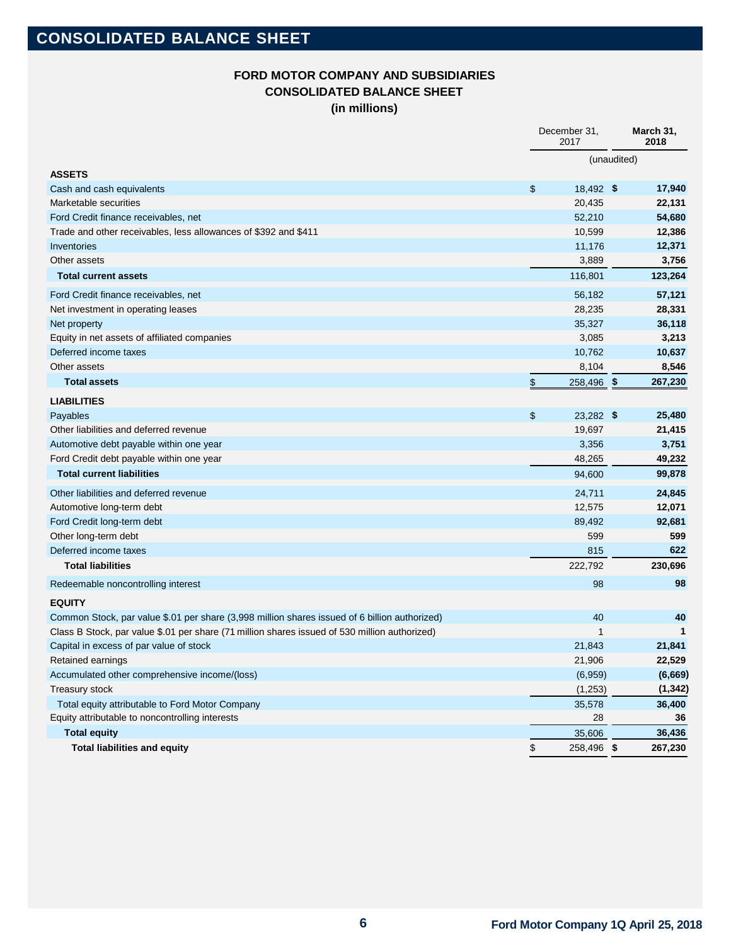### **FORD MOTOR COMPANY AND SUBSIDIARIES CONSOLIDATED BALANCE SHEET (in millions)**

|                                                                                               |    | December 31,<br>2017 |  | March 31,<br>2018 |  |
|-----------------------------------------------------------------------------------------------|----|----------------------|--|-------------------|--|
|                                                                                               |    | (unaudited)          |  |                   |  |
| <b>ASSETS</b>                                                                                 |    |                      |  |                   |  |
| Cash and cash equivalents                                                                     | \$ | 18,492 \$            |  | 17,940            |  |
| Marketable securities                                                                         |    | 20,435               |  | 22,131            |  |
| Ford Credit finance receivables, net                                                          |    | 52,210               |  | 54,680            |  |
| Trade and other receivables, less allowances of \$392 and \$411                               |    | 10,599               |  | 12,386            |  |
| Inventories                                                                                   |    | 11,176               |  | 12,371            |  |
| Other assets                                                                                  |    | 3,889                |  | 3,756             |  |
| <b>Total current assets</b>                                                                   |    | 116,801              |  | 123,264           |  |
| Ford Credit finance receivables, net                                                          |    | 56,182               |  | 57,121            |  |
| Net investment in operating leases                                                            |    | 28,235               |  | 28,331            |  |
| Net property                                                                                  |    | 35,327               |  | 36,118            |  |
| Equity in net assets of affiliated companies                                                  |    | 3,085                |  | 3,213             |  |
| Deferred income taxes                                                                         |    | 10,762               |  | 10,637            |  |
| Other assets                                                                                  |    | 8,104                |  | 8,546             |  |
| <b>Total assets</b>                                                                           | \$ | 258,496 \$           |  | 267,230           |  |
| <b>LIABILITIES</b>                                                                            |    |                      |  |                   |  |
| Payables                                                                                      | \$ | $23,282$ \$          |  | 25,480            |  |
| Other liabilities and deferred revenue                                                        |    | 19,697               |  | 21,415            |  |
| Automotive debt payable within one year                                                       |    | 3,356                |  | 3,751             |  |
| Ford Credit debt payable within one year                                                      |    | 48,265               |  | 49,232            |  |
| <b>Total current liabilities</b>                                                              |    | 94,600               |  | 99,878            |  |
| Other liabilities and deferred revenue                                                        |    | 24,711               |  | 24,845            |  |
| Automotive long-term debt                                                                     |    | 12,575               |  | 12,071            |  |
| Ford Credit long-term debt                                                                    |    | 89,492               |  | 92,681            |  |
| Other long-term debt                                                                          |    | 599                  |  | 599               |  |
| Deferred income taxes                                                                         |    | 815                  |  | 622               |  |
| <b>Total liabilities</b>                                                                      |    | 222,792              |  | 230,696           |  |
| Redeemable noncontrolling interest                                                            |    | 98                   |  | 98                |  |
| <b>EQUITY</b>                                                                                 |    |                      |  |                   |  |
| Common Stock, par value \$.01 per share (3,998 million shares issued of 6 billion authorized) |    | 40                   |  | 40                |  |
| Class B Stock, par value \$.01 per share (71 million shares issued of 530 million authorized) |    | $\mathbf{1}$         |  | 1                 |  |
| Capital in excess of par value of stock                                                       |    | 21,843               |  | 21,841            |  |
| Retained earnings                                                                             |    | 21,906               |  | 22,529            |  |
| Accumulated other comprehensive income/(loss)                                                 |    | (6,959)              |  | (6, 669)          |  |
| <b>Treasury stock</b>                                                                         |    | (1,253)              |  | (1, 342)          |  |
| Total equity attributable to Ford Motor Company                                               |    | 35,578               |  | 36,400            |  |
| Equity attributable to noncontrolling interests                                               |    | 28                   |  | 36                |  |
| <b>Total equity</b>                                                                           |    | 35,606               |  | 36,436            |  |
| <b>Total liabilities and equity</b>                                                           | \$ | 258,496 \$           |  | 267,230           |  |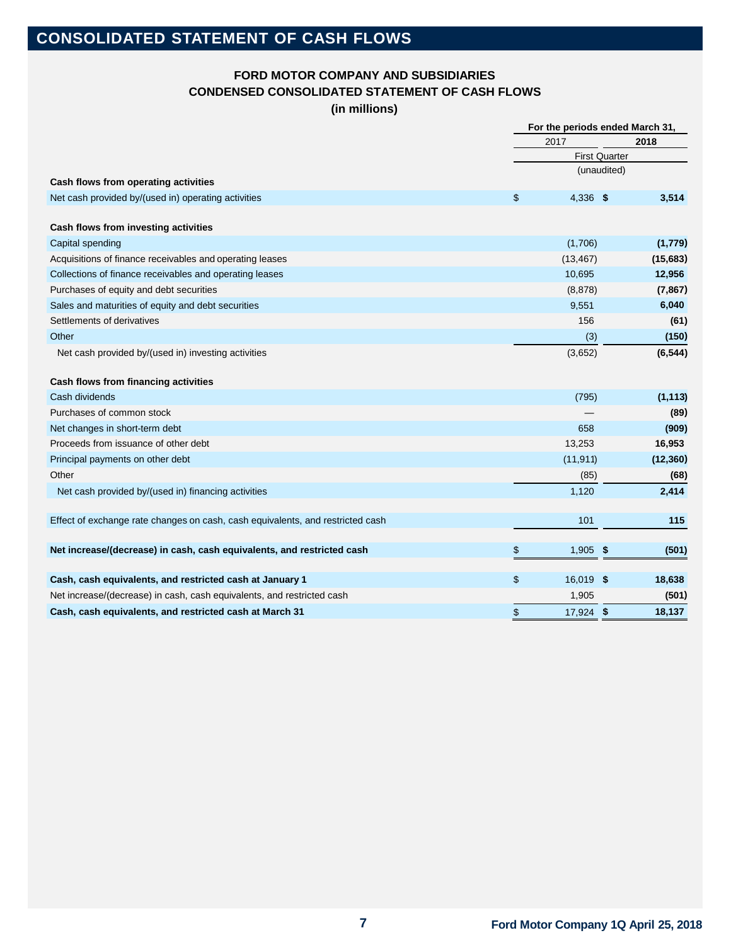# **CONSOLIDATED STATEMENT OF CASH FLOWS**

### **FORD MOTOR COMPANY AND SUBSIDIARIES CONDENSED CONSOLIDATED STATEMENT OF CASH FLOWS**

**(in millions)**

|                                                                                |                   |                      | For the periods ended March 31, |  |  |
|--------------------------------------------------------------------------------|-------------------|----------------------|---------------------------------|--|--|
|                                                                                | 2017              |                      | 2018                            |  |  |
|                                                                                |                   | <b>First Quarter</b> |                                 |  |  |
|                                                                                |                   | (unaudited)          |                                 |  |  |
| Cash flows from operating activities                                           |                   |                      |                                 |  |  |
| Net cash provided by/(used in) operating activities                            | \$<br>$4,336$ \$  |                      | 3,514                           |  |  |
| Cash flows from investing activities                                           |                   |                      |                                 |  |  |
| Capital spending                                                               | (1,706)           |                      | (1,779)                         |  |  |
| Acquisitions of finance receivables and operating leases                       | (13, 467)         |                      | (15, 683)                       |  |  |
| Collections of finance receivables and operating leases                        | 10,695            |                      | 12,956                          |  |  |
| Purchases of equity and debt securities                                        | (8,878)           |                      | (7, 867)                        |  |  |
| Sales and maturities of equity and debt securities                             | 9,551             |                      | 6,040                           |  |  |
| Settlements of derivatives                                                     | 156               |                      | (61)                            |  |  |
| Other                                                                          | (3)               |                      | (150)                           |  |  |
| Net cash provided by/(used in) investing activities                            | (3,652)           |                      | (6, 544)                        |  |  |
| Cash flows from financing activities                                           |                   |                      |                                 |  |  |
| Cash dividends                                                                 | (795)             |                      | (1, 113)                        |  |  |
| Purchases of common stock                                                      |                   |                      | (89)                            |  |  |
| Net changes in short-term debt                                                 | 658               |                      | (909)                           |  |  |
| Proceeds from issuance of other debt                                           | 13,253            |                      | 16,953                          |  |  |
| Principal payments on other debt                                               | (11, 911)         |                      | (12, 360)                       |  |  |
| Other                                                                          | (85)              |                      | (68)                            |  |  |
| Net cash provided by/(used in) financing activities                            | 1,120             |                      | 2,414                           |  |  |
| Effect of exchange rate changes on cash, cash equivalents, and restricted cash | 101               |                      | 115                             |  |  |
|                                                                                |                   |                      |                                 |  |  |
| Net increase/(decrease) in cash, cash equivalents, and restricted cash         | \$<br>1,905       | \$                   | (501)                           |  |  |
| Cash, cash equivalents, and restricted cash at January 1                       | \$<br>16,019 \$   |                      | 18,638                          |  |  |
| Net increase/(decrease) in cash, cash equivalents, and restricted cash         | 1,905             |                      | (501)                           |  |  |
| Cash, cash equivalents, and restricted cash at March 31                        | \$<br>$17,924$ \$ |                      | 18,137                          |  |  |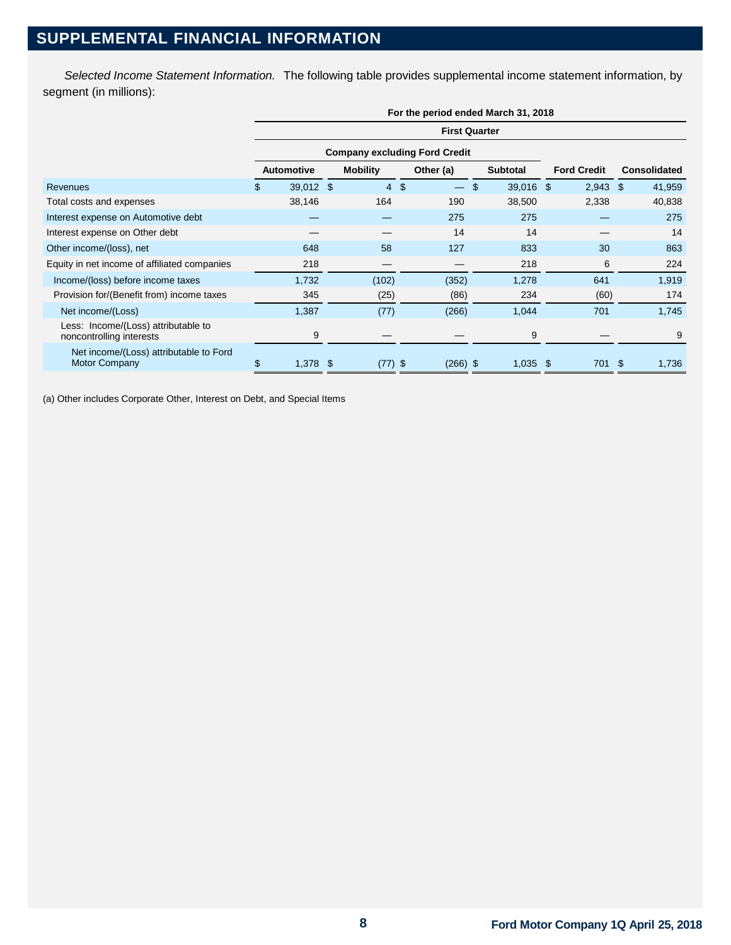# **SUPPLEMENTAL FINANCIAL INFORMATION**

*Selected Income Statement Information.* The following table provides supplemental income statement information, by segment (in millions):

|                                                                 | For the period ended March 31, 2018 |    |                 |                |                                      |    |                 |  |                    |                     |        |
|-----------------------------------------------------------------|-------------------------------------|----|-----------------|----------------|--------------------------------------|----|-----------------|--|--------------------|---------------------|--------|
|                                                                 | <b>First Quarter</b>                |    |                 |                |                                      |    |                 |  |                    |                     |        |
|                                                                 |                                     |    |                 |                | <b>Company excluding Ford Credit</b> |    |                 |  |                    |                     |        |
|                                                                 | <b>Automotive</b>                   |    | <b>Mobility</b> |                | Other (a)                            |    | <b>Subtotal</b> |  | <b>Ford Credit</b> | <b>Consolidated</b> |        |
| <b>Revenues</b>                                                 | \$<br>39,012 \$                     |    | $\overline{4}$  | $\mathfrak{F}$ | $\qquad \qquad$                      | \$ | 39,016 \$       |  | $2,943$ \$         |                     | 41,959 |
| Total costs and expenses                                        | 38,146                              |    | 164             |                | 190                                  |    | 38,500          |  | 2,338              |                     | 40,838 |
| Interest expense on Automotive debt                             |                                     |    |                 |                | 275                                  |    | 275             |  |                    |                     | 275    |
| Interest expense on Other debt                                  |                                     |    |                 |                | 14                                   |    | 14              |  |                    |                     | 14     |
| Other income/(loss), net                                        | 648                                 |    | 58              |                | 127                                  |    | 833             |  | 30                 |                     | 863    |
| Equity in net income of affiliated companies                    | 218                                 |    |                 |                |                                      |    | 218             |  | 6                  |                     | 224    |
| Income/(loss) before income taxes                               | 1,732                               |    | (102)           |                | (352)                                |    | 1,278           |  | 641                |                     | 1,919  |
| Provision for/(Benefit from) income taxes                       | 345                                 |    | (25)            |                | (86)                                 |    | 234             |  | (60)               |                     | 174    |
| Net income/(Loss)                                               | 1,387                               |    | (77)            |                | (266)                                |    | 1,044           |  | 701                |                     | 1,745  |
| Less: Income/(Loss) attributable to<br>noncontrolling interests | 9                                   |    |                 |                |                                      |    | 9               |  |                    |                     | 9      |
| Net income/(Loss) attributable to Ford<br><b>Motor Company</b>  | \$<br>1,378                         | \$ | $(77)$ \$       |                | $(266)$ \$                           |    | $1,035$ \$      |  | 701                | - \$                | 1,736  |

(a) Other includes Corporate Other, Interest on Debt, and Special Items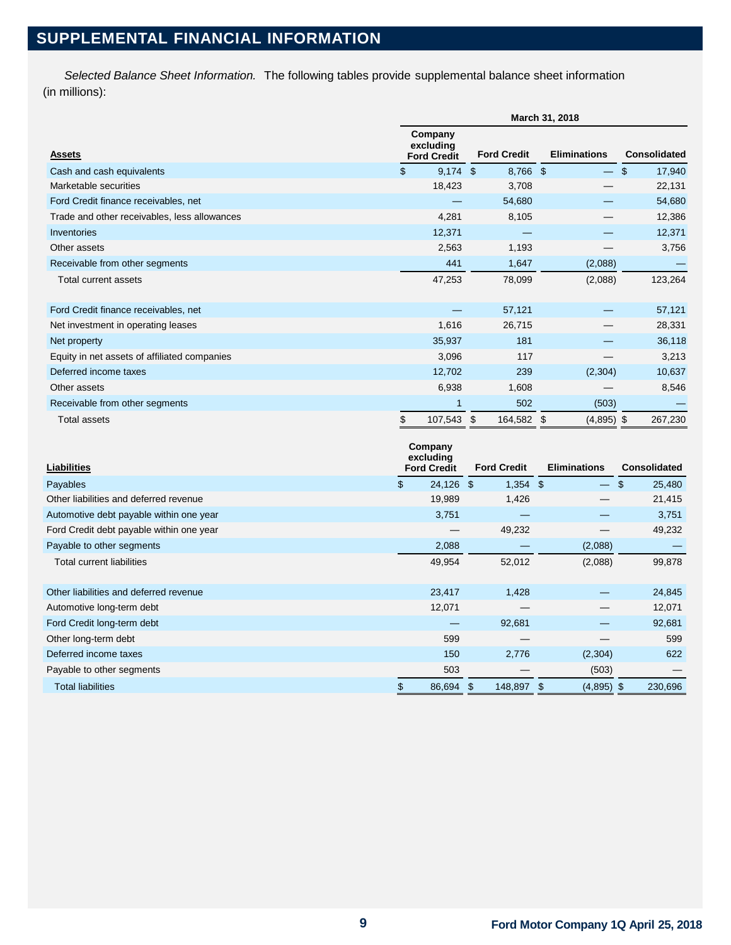#### **SUPPLEMENTAL FINANCIAL INFORMATION** *Item 2. Management's Discussion and Analysis of Financial Condition and Results of Operations (Continued)*

*Selected Balance Sheet Information.* The following tables provide supplemental balance sheet information (in millions):

|                                              | March 31, 2018 |                                            |                    |            |                          |                     |  |  |
|----------------------------------------------|----------------|--------------------------------------------|--------------------|------------|--------------------------|---------------------|--|--|
| <b>Assets</b>                                |                | Company<br>excluding<br><b>Ford Credit</b> | <b>Ford Credit</b> |            | <b>Eliminations</b>      | <b>Consolidated</b> |  |  |
| Cash and cash equivalents                    | \$             | $9,174$ \$                                 |                    | 8,766 \$   | $\overline{\phantom{0}}$ | 17,940<br>\$        |  |  |
| Marketable securities                        |                | 18,423                                     |                    | 3,708      |                          | 22,131              |  |  |
| Ford Credit finance receivables, net         |                |                                            |                    | 54,680     |                          | 54,680              |  |  |
| Trade and other receivables, less allowances |                | 4,281                                      |                    | 8,105      |                          | 12,386              |  |  |
| Inventories                                  |                | 12,371                                     |                    |            |                          | 12,371              |  |  |
| Other assets                                 |                | 2,563                                      |                    | 1,193      |                          | 3,756               |  |  |
| Receivable from other segments               |                | 441                                        |                    | 1,647      | (2,088)                  |                     |  |  |
| Total current assets                         |                | 47,253                                     |                    | 78,099     | (2,088)                  | 123,264             |  |  |
| Ford Credit finance receivables, net         |                |                                            |                    | 57,121     |                          | 57,121              |  |  |
| Net investment in operating leases           |                | 1,616                                      |                    | 26,715     |                          | 28,331              |  |  |
| Net property                                 |                | 35,937                                     |                    | 181        |                          | 36,118              |  |  |
| Equity in net assets of affiliated companies |                | 3,096                                      |                    | 117        |                          | 3,213               |  |  |
| Deferred income taxes                        |                | 12,702                                     |                    | 239        | (2, 304)                 | 10,637              |  |  |
| Other assets                                 |                | 6,938                                      |                    | 1,608      |                          | 8,546               |  |  |
| Receivable from other segments               |                |                                            |                    | 502        | (503)                    |                     |  |  |
| <b>Total assets</b>                          | \$             | 107,543                                    | -\$                | 164,582 \$ | $(4,895)$ \$             | 267,230             |  |  |

| Liabilities                              | Company<br>excluding<br><b>Ford Credit</b> | <b>Ford Credit</b> | <b>Eliminations</b> |     | <b>Consolidated</b> |
|------------------------------------------|--------------------------------------------|--------------------|---------------------|-----|---------------------|
| Payables                                 | \$<br>24,126 \$                            | $1,354$ \$         |                     | $-$ | \$<br>25,480        |
| Other liabilities and deferred revenue   | 19,989                                     | 1,426              |                     |     | 21,415              |
| Automotive debt payable within one year  | 3,751                                      |                    |                     |     | 3,751               |
| Ford Credit debt payable within one year |                                            | 49,232             |                     |     | 49,232              |
| Payable to other segments                | 2,088                                      |                    | (2,088)             |     |                     |
| Total current liabilities                | 49,954                                     | 52,012             | (2,088)             |     | 99,878              |
| Other liabilities and deferred revenue   | 23,417                                     | 1,428              |                     |     | 24,845              |
| Automotive long-term debt                | 12,071                                     |                    |                     |     | 12,071              |
| Ford Credit long-term debt               |                                            | 92,681             |                     |     | 92,681              |
| Other long-term debt                     | 599                                        |                    |                     |     | 599                 |
| Deferred income taxes                    | 150                                        | 2,776              | (2,304)             |     | 622                 |
| Payable to other segments                | 503                                        |                    | (503)               |     |                     |
| <b>Total liabilities</b>                 | 86,694                                     | \$<br>148,897      | $(4,895)$ \$<br>-\$ |     | 230,696             |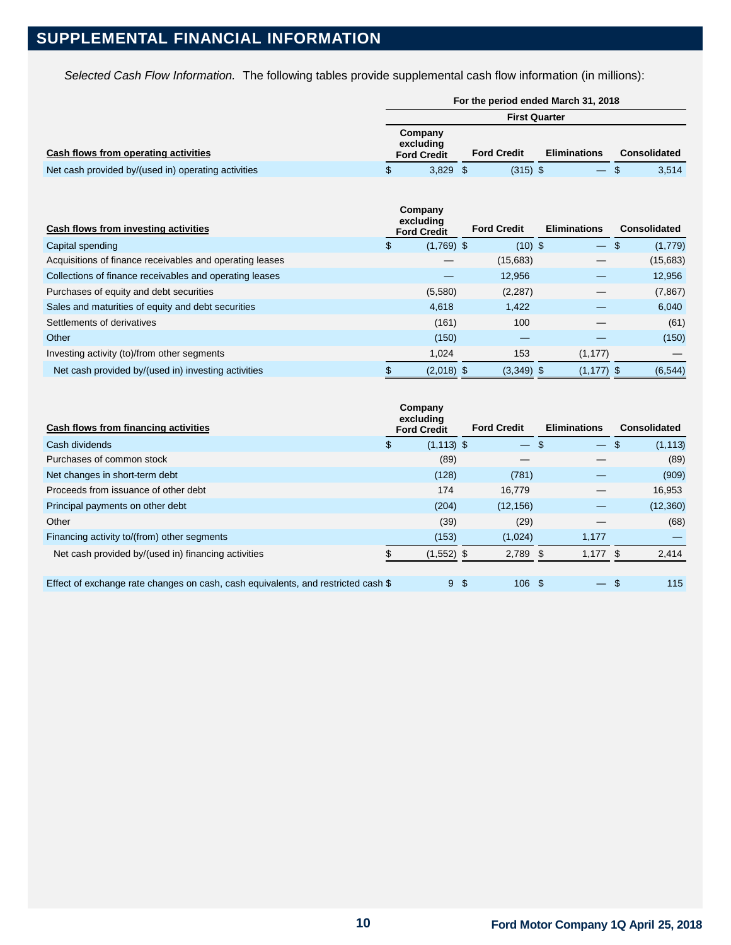#### **SUPPLEMENTAL FINANCIAL INFORMATION** *Item 2. Management's Discussion and Analysis of Financial Condition and Results of Operations (Continued)*

*Selected Cash Flow Information.* The following tables provide supplemental cash flow information (in millions):

|                                                     | For the period ended March 31, 2018        |                    |                          |                     |  |  |
|-----------------------------------------------------|--------------------------------------------|--------------------|--------------------------|---------------------|--|--|
|                                                     | <b>First Quarter</b>                       |                    |                          |                     |  |  |
| <b>Cash flows from operating activities</b>         | Company<br>excluding<br><b>Ford Credit</b> | <b>Ford Credit</b> | <b>Eliminations</b>      | <b>Consolidated</b> |  |  |
| Net cash provided by/(used in) operating activities | 3.829                                      | $(315)$ \$         | $\overline{\phantom{m}}$ | 3,514<br>-S         |  |  |

| Cash flows from investing activities                     | Company<br>excluding<br><b>Ford Credit</b> | <b>Ford Credit</b> | <b>Eliminations</b> | <b>Consolidated</b> |
|----------------------------------------------------------|--------------------------------------------|--------------------|---------------------|---------------------|
| Capital spending                                         | \$<br>$(1,769)$ \$                         | $(10)$ \$          |                     | - \$<br>(1,779)     |
| Acquisitions of finance receivables and operating leases |                                            | (15,683)           |                     | (15,683)            |
| Collections of finance receivables and operating leases  |                                            | 12.956             |                     | 12,956              |
| Purchases of equity and debt securities                  | (5,580)                                    | (2, 287)           |                     | (7,867)             |
| Sales and maturities of equity and debt securities       | 4.618                                      | 1,422              |                     | 6,040               |
| Settlements of derivatives                               | (161)                                      | 100                |                     | (61)                |
| Other                                                    | (150)                                      |                    |                     | (150)               |
| Investing activity (to)/from other segments              | 1,024                                      | 153                | (1, 177)            |                     |
| Net cash provided by/(used in) investing activities      | $(2,018)$ \$                               | $(3,349)$ \$       | $(1, 177)$ \$       | (6, 544)            |

| Cash flows from financing activities                                              | Company<br>excluding<br><b>Ford Credit</b> | <b>Ford Credit</b> | <b>Eliminations</b>              | <b>Consolidated</b> |
|-----------------------------------------------------------------------------------|--------------------------------------------|--------------------|----------------------------------|---------------------|
| Cash dividends                                                                    | \$<br>$(1, 113)$ \$                        |                    | - \$<br>$\overline{\phantom{m}}$ | \$<br>(1, 113)      |
| Purchases of common stock                                                         | (89)                                       |                    |                                  | (89)                |
| Net changes in short-term debt                                                    | (128)                                      | (781)              |                                  | (909)               |
| Proceeds from issuance of other debt                                              | 174                                        | 16,779             |                                  | 16,953              |
| Principal payments on other debt                                                  | (204)                                      | (12, 156)          |                                  | (12,360)            |
| Other                                                                             | (39)                                       | (29)               |                                  | (68)                |
| Financing activity to/(from) other segments                                       | (153)                                      | (1,024)            | 1,177                            |                     |
| Net cash provided by/(used in) financing activities                               | $(1,552)$ \$                               | 2,789 \$           | $1,177$ \$                       | 2,414               |
| Effect of exchange rate changes on cash, cash equivalents, and restricted cash \$ | 9                                          | 106S<br>-\$        | $\overline{\phantom{m}}$         | \$<br>115           |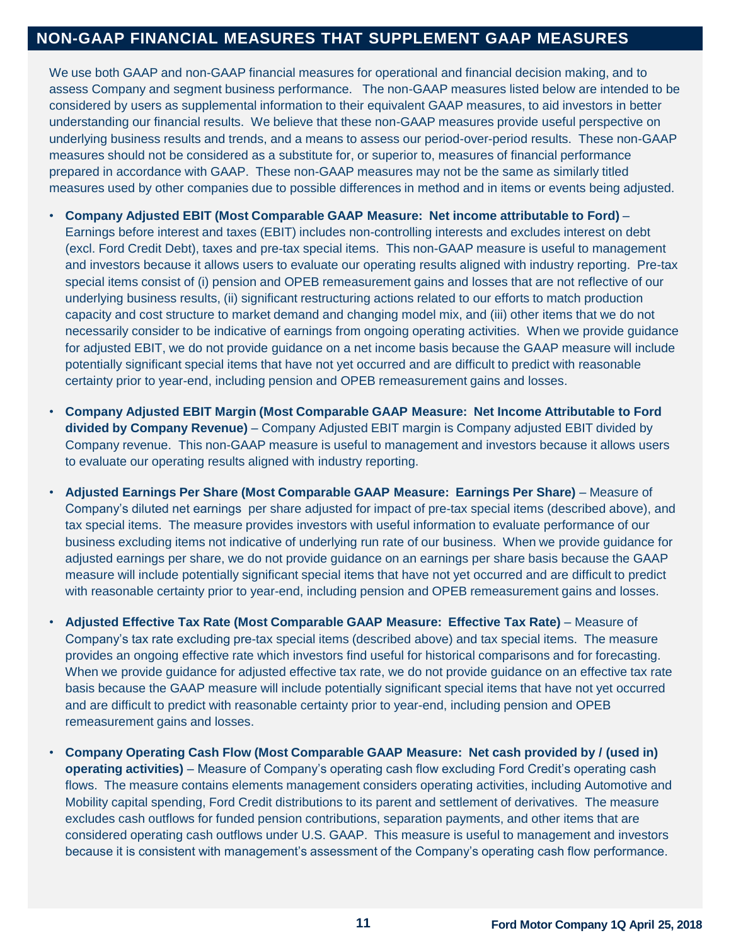## **NON-GAAP FINANCIAL MEASURES THAT SUPPLEMENT GAAP MEASURES**

We use both GAAP and non-GAAP financial measures for operational and financial decision making, and to assess Company and segment business performance. The non-GAAP measures listed below are intended to be considered by users as supplemental information to their equivalent GAAP measures, to aid investors in better understanding our financial results. We believe that these non-GAAP measures provide useful perspective on underlying business results and trends, and a means to assess our period-over-period results. These non-GAAP measures should not be considered as a substitute for, or superior to, measures of financial performance prepared in accordance with GAAP. These non-GAAP measures may not be the same as similarly titled measures used by other companies due to possible differences in method and in items or events being adjusted.

- **Company Adjusted EBIT (Most Comparable GAAP Measure: Net income attributable to Ford)**  Earnings before interest and taxes (EBIT) includes non-controlling interests and excludes interest on debt (excl. Ford Credit Debt), taxes and pre-tax special items. This non-GAAP measure is useful to management and investors because it allows users to evaluate our operating results aligned with industry reporting. Pre-tax special items consist of (i) pension and OPEB remeasurement gains and losses that are not reflective of our underlying business results, (ii) significant restructuring actions related to our efforts to match production capacity and cost structure to market demand and changing model mix, and (iii) other items that we do not necessarily consider to be indicative of earnings from ongoing operating activities. When we provide guidance for adjusted EBIT, we do not provide guidance on a net income basis because the GAAP measure will include potentially significant special items that have not yet occurred and are difficult to predict with reasonable certainty prior to year-end, including pension and OPEB remeasurement gains and losses.
- **Company Adjusted EBIT Margin (Most Comparable GAAP Measure: Net Income Attributable to Ford divided by Company Revenue)** – Company Adjusted EBIT margin is Company adjusted EBIT divided by Company revenue. This non-GAAP measure is useful to management and investors because it allows users to evaluate our operating results aligned with industry reporting.
- **Adjusted Earnings Per Share (Most Comparable GAAP Measure: Earnings Per Share)**  Measure of Company's diluted net earnings per share adjusted for impact of pre-tax special items (described above), and tax special items. The measure provides investors with useful information to evaluate performance of our business excluding items not indicative of underlying run rate of our business. When we provide guidance for adjusted earnings per share, we do not provide guidance on an earnings per share basis because the GAAP measure will include potentially significant special items that have not yet occurred and are difficult to predict with reasonable certainty prior to year-end, including pension and OPEB remeasurement gains and losses.
- **Adjusted Effective Tax Rate (Most Comparable GAAP Measure: Effective Tax Rate)**  Measure of Company's tax rate excluding pre-tax special items (described above) and tax special items. The measure provides an ongoing effective rate which investors find useful for historical comparisons and for forecasting. When we provide guidance for adjusted effective tax rate, we do not provide guidance on an effective tax rate basis because the GAAP measure will include potentially significant special items that have not yet occurred and are difficult to predict with reasonable certainty prior to year-end, including pension and OPEB remeasurement gains and losses.
- **Company Operating Cash Flow (Most Comparable GAAP Measure: Net cash provided by / (used in) operating activities)** – Measure of Company's operating cash flow excluding Ford Credit's operating cash flows. The measure contains elements management considers operating activities, including Automotive and Mobility capital spending, Ford Credit distributions to its parent and settlement of derivatives. The measure excludes cash outflows for funded pension contributions, separation payments, and other items that are considered operating cash outflows under U.S. GAAP. This measure is useful to management and investors because it is consistent with management's assessment of the Company's operating cash flow performance.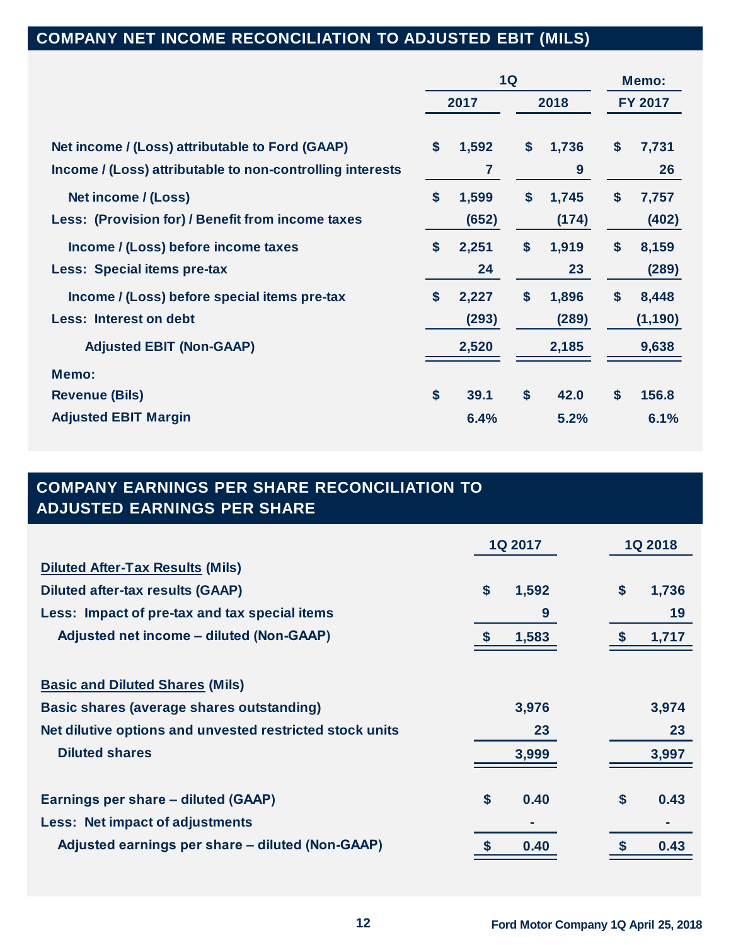# **COMPANY NET INCOME RECONCILIATION TO ADJUSTED EBIT (MILS)**

|                                                           |                           | 1Q             |                           |       | Memo:                     |          |
|-----------------------------------------------------------|---------------------------|----------------|---------------------------|-------|---------------------------|----------|
|                                                           | 2017                      |                |                           | 2018  | <b>FY 2017</b>            |          |
| Net income / (Loss) attributable to Ford (GAAP)           | $\boldsymbol{\mathsf{s}}$ | 1,592          | $\boldsymbol{\mathsf{s}}$ | 1,736 | $\mathbf{\$}$             | 7,731    |
| Income / (Loss) attributable to non-controlling interests |                           | $\overline{7}$ |                           | 9     |                           | 26       |
| Net income / (Loss)                                       | $\boldsymbol{\mathsf{s}}$ | 1,599          | $\boldsymbol{\mathsf{s}}$ | 1,745 | $\boldsymbol{\mathsf{s}}$ | 7,757    |
| Less: (Provision for) / Benefit from income taxes         |                           | (652)          |                           | (174) |                           | (402)    |
| Income / (Loss) before income taxes                       | \$                        | 2,251          | $\boldsymbol{\$}$         | 1,919 | \$                        | 8,159    |
| <b>Less: Special items pre-tax</b>                        |                           | 24             |                           | 23    |                           | (289)    |
| Income / (Loss) before special items pre-tax              | $\boldsymbol{\mathsf{s}}$ | 2,227          | $\boldsymbol{\mathsf{s}}$ | 1,896 | $\boldsymbol{\mathsf{s}}$ | 8,448    |
| <b>Less: Interest on debt</b>                             |                           | (293)          |                           | (289) |                           | (1, 190) |
| <b>Adjusted EBIT (Non-GAAP)</b>                           |                           | 2,520          |                           | 2,185 |                           | 9,638    |
| Memo:                                                     |                           |                |                           |       |                           |          |
| <b>Revenue (Bils)</b>                                     | \$                        | 39.1           | $\boldsymbol{\mathsf{s}}$ | 42.0  | $\boldsymbol{s}$          | 156.8    |
| <b>Adjusted EBIT Margin</b>                               |                           | 6.4%           |                           | 5.2%  |                           | 6.1%     |

## **COMPANY EARNINGS PER SHARE RECONCILIATION TO ADJUSTED EARNINGS PER SHARE**

|                                                          | 1Q 2017               | 1Q 2018     |
|----------------------------------------------------------|-----------------------|-------------|
| <b>Diluted After-Tax Results (Mils)</b>                  |                       |             |
| <b>Diluted after-tax results (GAAP)</b>                  | $\mathbf{s}$<br>1,592 | \$<br>1,736 |
| Less: Impact of pre-tax and tax special items            | 9                     | 19          |
| Adjusted net income – diluted (Non-GAAP)                 | 1,583                 | 1,717       |
| <b>Basic and Diluted Shares (Mils)</b>                   |                       |             |
| <b>Basic shares (average shares outstanding)</b>         | 3,976                 | 3,974       |
| Net dilutive options and unvested restricted stock units | 23                    | 23          |
| <b>Diluted shares</b>                                    | 3,999                 | 3,997       |
| Earnings per share – diluted (GAAP)                      | $\mathbf{s}$<br>0.40  | \$<br>0.43  |
| Less: Net impact of adjustments                          |                       |             |
| Adjusted earnings per share - diluted (Non-GAAP)         | 0.40                  | 0.43        |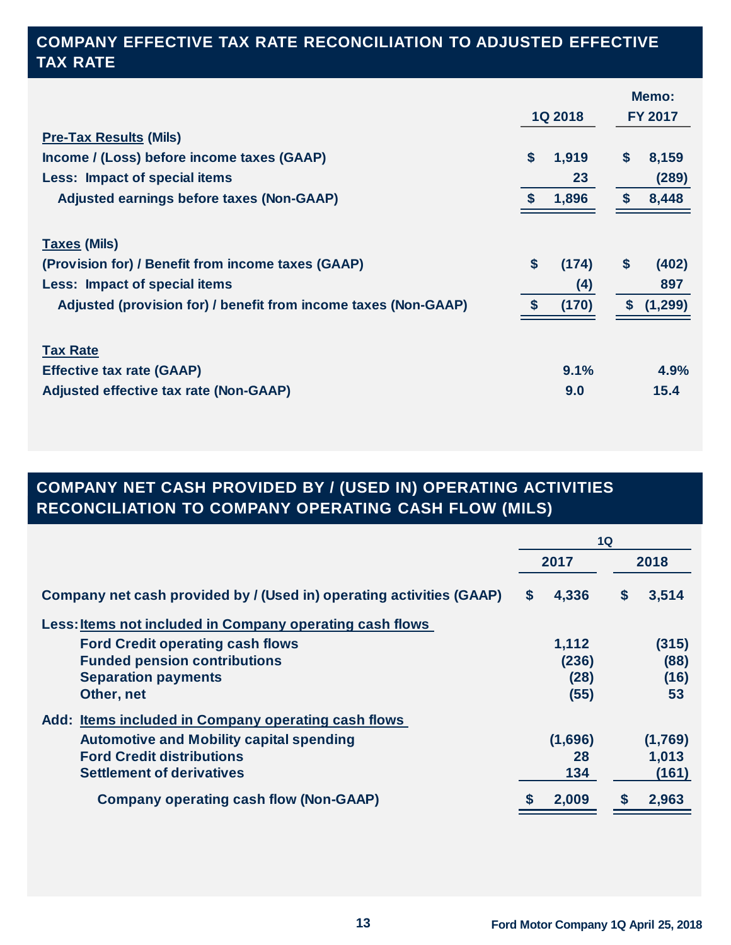## **COMPANY EFFECTIVE TAX RATE RECONCILIATION TO ADJUSTED EFFECTIVE TAX RATE**

|                                                                 |                           |       | Memo:                     |                |  |
|-----------------------------------------------------------------|---------------------------|-------|---------------------------|----------------|--|
|                                                                 | 1Q 2018                   |       |                           | <b>FY 2017</b> |  |
| <b>Pre-Tax Results (Mils)</b>                                   |                           |       |                           |                |  |
| Income / (Loss) before income taxes (GAAP)                      | $\mathbf{s}$              | 1,919 | $\boldsymbol{\mathsf{s}}$ | 8,159          |  |
| Less: Impact of special items                                   |                           | 23    |                           | (289)          |  |
| Adjusted earnings before taxes (Non-GAAP)                       |                           | 1,896 | \$                        | 8,448          |  |
| <b>Taxes (Mils)</b>                                             |                           |       |                           |                |  |
| (Provision for) / Benefit from income taxes (GAAP)              | \$                        | (174) | \$                        | (402)          |  |
| Less: Impact of special items                                   |                           | (4)   |                           | 897            |  |
| Adjusted (provision for) / benefit from income taxes (Non-GAAP) | $\boldsymbol{\mathsf{s}}$ | (170) | $\mathbf{s}$              | (1, 299)       |  |
| <b>Tax Rate</b>                                                 |                           |       |                           |                |  |
| <b>Effective tax rate (GAAP)</b>                                |                           | 9.1%  |                           | 4.9%           |  |
| Adjusted effective tax rate (Non-GAAP)                          |                           | 9.0   |                           | 15.4           |  |

## **COMPANY NET CASH PROVIDED BY / (USED IN) OPERATING ACTIVITIES RECONCILIATION TO COMPANY OPERATING CASH FLOW (MILS)**

|                                                                      | 1Q           |         |              |         |
|----------------------------------------------------------------------|--------------|---------|--------------|---------|
|                                                                      |              | 2017    |              | 2018    |
| Company net cash provided by / (Used in) operating activities (GAAP) | $\mathbf{s}$ | 4,336   | $\mathbf{s}$ | 3,514   |
| Less: Items not included in Company operating cash flows             |              |         |              |         |
| <b>Ford Credit operating cash flows</b>                              |              | 1,112   |              | (315)   |
| <b>Funded pension contributions</b>                                  |              | (236)   |              | (88)    |
| <b>Separation payments</b>                                           |              | (28)    |              | (16)    |
| Other, net                                                           |              | (55)    |              | 53      |
| Add: Items included in Company operating cash flows                  |              |         |              |         |
| <b>Automotive and Mobility capital spending</b>                      |              | (1,696) |              | (1,769) |
| <b>Ford Credit distributions</b>                                     |              | 28      |              | 1,013   |
| <b>Settlement of derivatives</b>                                     |              | 134     |              | (161)   |
| <b>Company operating cash flow (Non-GAAP)</b>                        |              | 2,009   | S            | 2,963   |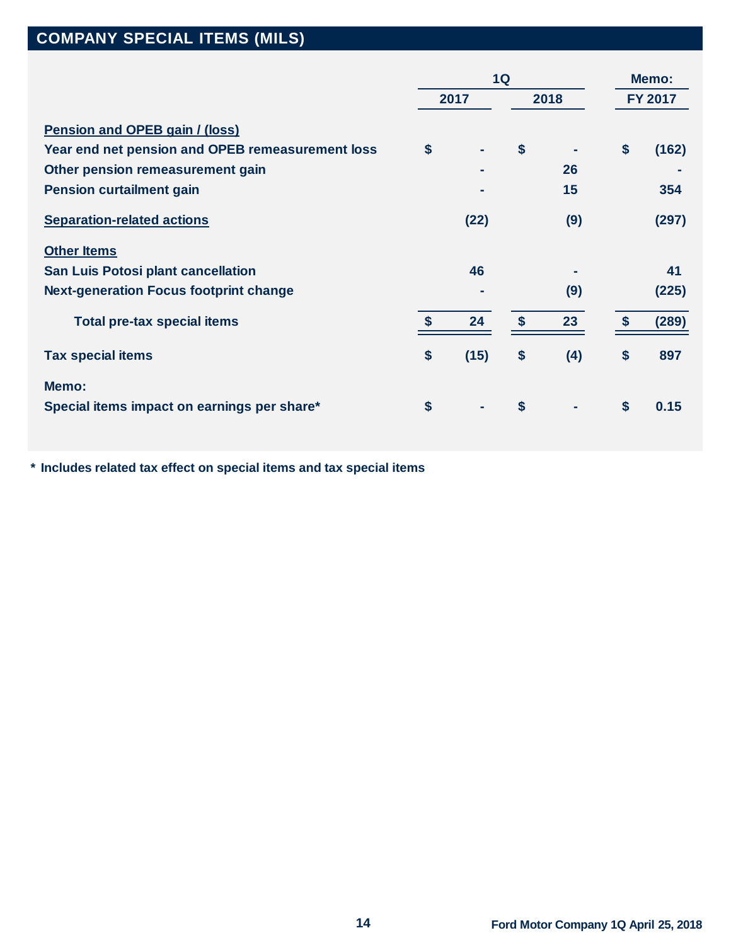# **COMPANY SPECIAL ITEMS (MILS)**

|                                                  | 1Q   |      |                           |     | Memo:        |                |  |
|--------------------------------------------------|------|------|---------------------------|-----|--------------|----------------|--|
|                                                  | 2017 |      | 2018                      |     |              | <b>FY 2017</b> |  |
| Pension and OPEB gain / (loss)                   |      |      |                           |     |              |                |  |
| Year end net pension and OPEB remeasurement loss | \$   | ٠    | \$                        | ٠   | \$           | (162)          |  |
| Other pension remeasurement gain                 |      |      |                           | 26  |              |                |  |
| <b>Pension curtailment gain</b>                  |      |      |                           | 15  |              | 354            |  |
| <b>Separation-related actions</b>                |      | (22) |                           | (9) |              | (297)          |  |
| <b>Other Items</b>                               |      |      |                           |     |              |                |  |
| <b>San Luis Potosi plant cancellation</b>        |      | 46   |                           |     |              | 41             |  |
| <b>Next-generation Focus footprint change</b>    |      |      |                           | (9) |              | (225)          |  |
| <b>Total pre-tax special items</b>               | \$   | 24   | $\boldsymbol{\mathsf{s}}$ | 23  | $\mathbf{s}$ | (289)          |  |
| <b>Tax special items</b>                         | \$   | (15) | \$                        | (4) | \$           | 897            |  |
| Memo:                                            |      |      |                           |     |              |                |  |
| Special items impact on earnings per share*      | \$   |      | \$                        |     | S            | 0.15           |  |

**\* Includes related tax effect on special items and tax special items**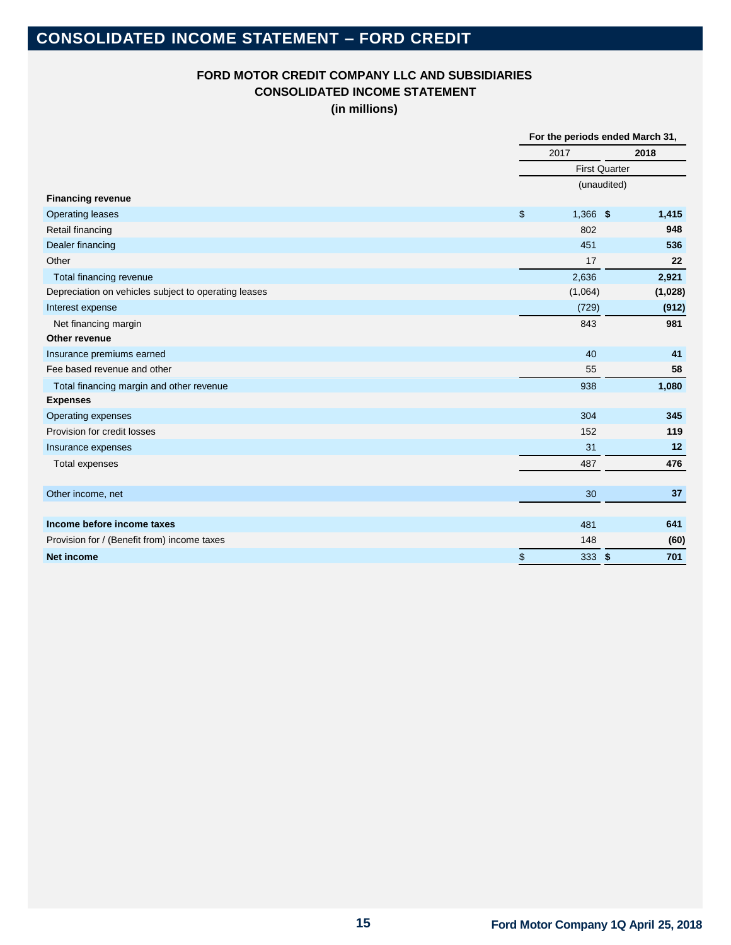# **CONSOLIDATED INCOME STATEMENT – FORD CREDIT**

### **FORD MOTOR CREDIT COMPANY LLC AND SUBSIDIARIES**

### **CONSOLIDATED INCOME STATEMENT**

**(in millions)**

|                                                      |         | For the periods ended March 31, |
|------------------------------------------------------|---------|---------------------------------|
|                                                      | 2017    | 2018                            |
|                                                      |         | <b>First Quarter</b>            |
|                                                      |         | (unaudited)                     |
| <b>Financing revenue</b>                             |         |                                 |
| <b>Operating leases</b>                              | \$      | $1,366$ \$<br>1,415             |
| Retail financing                                     | 802     | 948                             |
| Dealer financing                                     | 451     | 536                             |
| Other                                                |         | 22<br>17                        |
| Total financing revenue                              | 2,636   | 2,921                           |
| Depreciation on vehicles subject to operating leases | (1,064) | (1,028)                         |
| Interest expense                                     |         | (912)<br>(729)                  |
| Net financing margin                                 | 843     | 981                             |
| Other revenue                                        |         |                                 |
| Insurance premiums earned                            |         | 41<br>40                        |
| Fee based revenue and other                          |         | 55<br>58                        |
| Total financing margin and other revenue             |         | 1,080<br>938                    |
| <b>Expenses</b>                                      |         |                                 |
| Operating expenses                                   |         | 304<br>345                      |
| Provision for credit losses                          |         | 152<br>119                      |
| Insurance expenses                                   |         | 31<br>12                        |
| Total expenses                                       | 487     | 476                             |
| Other income, net                                    |         | 30<br>37                        |
| Income before income taxes                           | 481     | 641                             |
| Provision for / (Benefit from) income taxes          |         | 148<br>(60)                     |
| <b>Net income</b>                                    | \$      | 333<br>$\frac{1}{2}$<br>701     |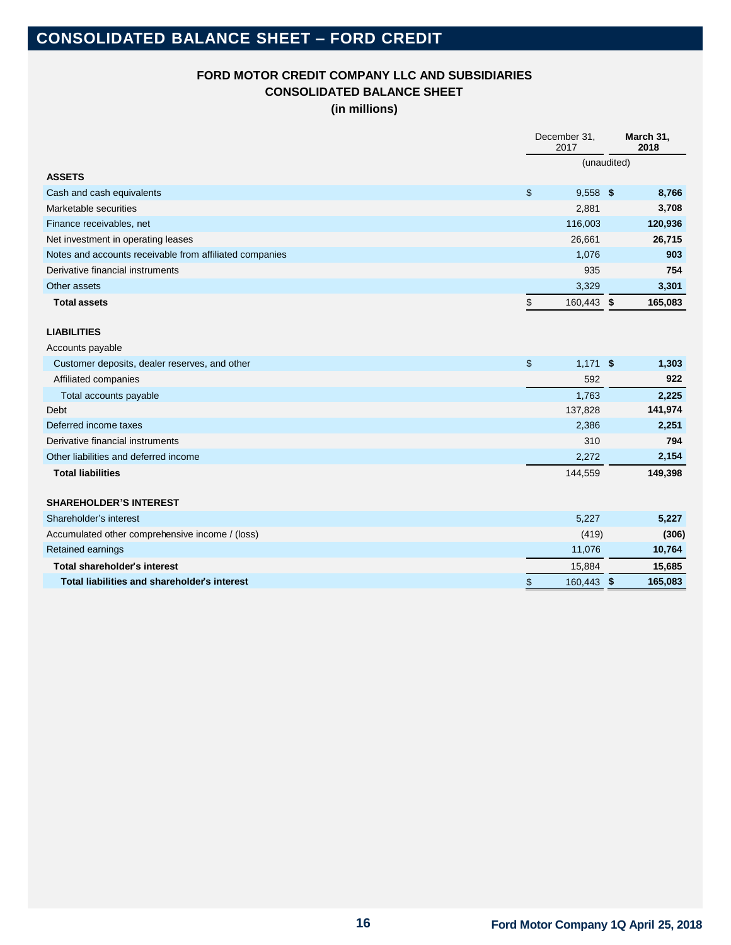# **CONSOLIDATED BALANCE SHEET – FORD CREDIT**

### **FORD MOTOR CREDIT COMPANY LLC AND SUBSIDIARIES CONSOLIDATED BALANCE SHEET (in millions)**

|                                                         |             | December 31,<br>2017 |  | March 31,<br>2018 |  |
|---------------------------------------------------------|-------------|----------------------|--|-------------------|--|
|                                                         | (unaudited) |                      |  |                   |  |
| <b>ASSETS</b>                                           |             |                      |  |                   |  |
| Cash and cash equivalents                               | \$          | $9,558$ \$           |  | 8,766             |  |
| Marketable securities                                   |             | 2,881                |  | 3,708             |  |
| Finance receivables, net                                |             | 116,003              |  | 120,936           |  |
| Net investment in operating leases                      |             | 26,661               |  | 26,715            |  |
| Notes and accounts receivable from affiliated companies |             | 1,076                |  | 903               |  |
| Derivative financial instruments                        |             | 935                  |  | 754               |  |
| Other assets                                            |             | 3,329                |  | 3,301             |  |
| <b>Total assets</b>                                     | \$          | 160,443 \$           |  | 165,083           |  |
| <b>LIABILITIES</b>                                      |             |                      |  |                   |  |
| Accounts payable                                        |             |                      |  |                   |  |
| Customer deposits, dealer reserves, and other           | \$          | $1,171$ \$           |  | 1,303             |  |
| Affiliated companies                                    |             | 592                  |  | 922               |  |
| Total accounts payable                                  |             | 1,763                |  | 2,225             |  |
| Debt                                                    |             | 137,828              |  | 141,974           |  |
| Deferred income taxes                                   |             | 2,386                |  | 2,251             |  |
| Derivative financial instruments                        |             | 310                  |  | 794               |  |
| Other liabilities and deferred income                   |             | 2,272                |  | 2,154             |  |
| <b>Total liabilities</b>                                |             | 144,559              |  | 149,398           |  |
| <b>SHAREHOLDER'S INTEREST</b>                           |             |                      |  |                   |  |
| Shareholder's interest                                  |             | 5,227                |  | 5,227             |  |
| Accumulated other comprehensive income / (loss)         |             | (419)                |  | (306)             |  |
| Retained earnings                                       |             | 11,076               |  | 10,764            |  |
| Total shareholder's interest                            |             | 15,884               |  | 15,685            |  |
| Total liabilities and shareholder's interest            | \$          | 160,443 \$           |  | 165,083           |  |